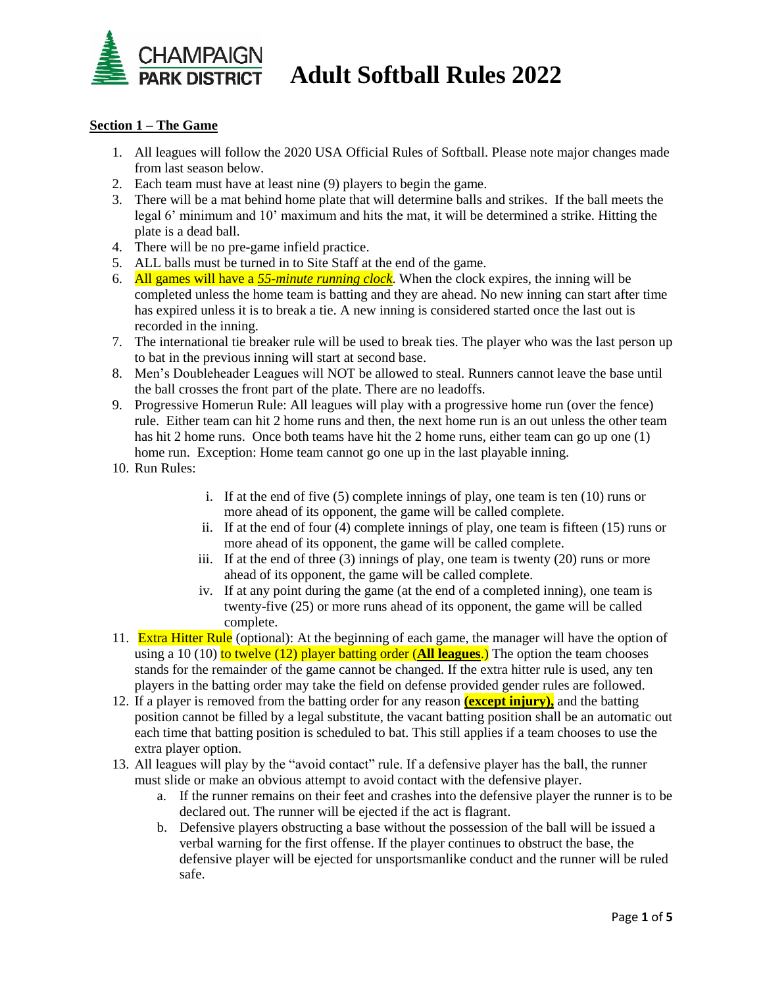

## **CHAMPAIGN<br>PARK DISTRICT** Adult Softball Rules 2022

### **Section 1 – The Game**

- 1. All leagues will follow the 2020 USA Official Rules of Softball. Please note major changes made from last season below.
- 2. Each team must have at least nine (9) players to begin the game.
- 3. There will be a mat behind home plate that will determine balls and strikes. If the ball meets the legal 6' minimum and 10' maximum and hits the mat, it will be determined a strike. Hitting the plate is a dead ball.
- 4. There will be no pre-game infield practice.
- 5. ALL balls must be turned in to Site Staff at the end of the game.
- 6. All games will have a *55-minute running clock*. When the clock expires, the inning will be completed unless the home team is batting and they are ahead. No new inning can start after time has expired unless it is to break a tie. A new inning is considered started once the last out is recorded in the inning.
- 7. The international tie breaker rule will be used to break ties. The player who was the last person up to bat in the previous inning will start at second base.
- 8. Men's Doubleheader Leagues will NOT be allowed to steal. Runners cannot leave the base until the ball crosses the front part of the plate. There are no leadoffs.
- 9. Progressive Homerun Rule: All leagues will play with a progressive home run (over the fence) rule. Either team can hit 2 home runs and then, the next home run is an out unless the other team has hit 2 home runs. Once both teams have hit the 2 home runs, either team can go up one (1) home run. Exception: Home team cannot go one up in the last playable inning.
- 10. Run Rules:
- i. If at the end of five (5) complete innings of play, one team is ten (10) runs or more ahead of its opponent, the game will be called complete.
- ii. If at the end of four (4) complete innings of play, one team is fifteen (15) runs or more ahead of its opponent, the game will be called complete.
- iii. If at the end of three (3) innings of play, one team is twenty (20) runs or more ahead of its opponent, the game will be called complete.
- iv. If at any point during the game (at the end of a completed inning), one team is twenty-five (25) or more runs ahead of its opponent, the game will be called complete.
- 11. **Extra Hitter Rule** (optional): At the beginning of each game, the manager will have the option of using a 10 (10) to twelve (12) player batting order (**All leagues**.) The option the team chooses stands for the remainder of the game cannot be changed. If the extra hitter rule is used, any ten players in the batting order may take the field on defense provided gender rules are followed.
- 12. If a player is removed from the batting order for any reason **(except injury),** and the batting position cannot be filled by a legal substitute, the vacant batting position shall be an automatic out each time that batting position is scheduled to bat. This still applies if a team chooses to use the extra player option.
- 13. All leagues will play by the "avoid contact" rule. If a defensive player has the ball, the runner must slide or make an obvious attempt to avoid contact with the defensive player.
	- a. If the runner remains on their feet and crashes into the defensive player the runner is to be declared out. The runner will be ejected if the act is flagrant.
	- b. Defensive players obstructing a base without the possession of the ball will be issued a verbal warning for the first offense. If the player continues to obstruct the base, the defensive player will be ejected for unsportsmanlike conduct and the runner will be ruled safe.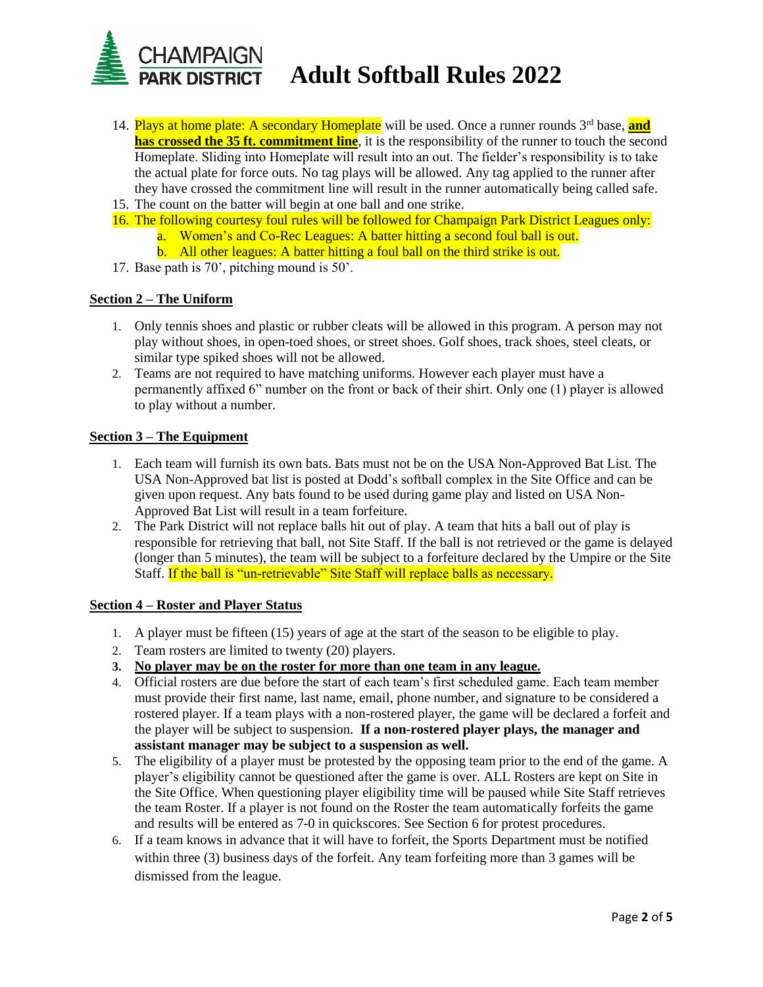

- 14. Plays at home plate: A secondary Homeplate will be used. Once a runner rounds 3rd base, **and has crossed the 35 ft. commitment line**, it is the responsibility of the runner to touch the second Homeplate. Sliding into Homeplate will result into an out. The fielder's responsibility is to take the actual plate for force outs. No tag plays will be allowed. Any tag applied to the runner after they have crossed the commitment line will result in the runner automatically being called safe.
- 15. The count on the batter will begin at one ball and one strike.
- 16. The following courtesy foul rules will be followed for Champaign Park District Leagues only:
	- a. Women's and Co-Rec Leagues: A batter hitting a second foul ball is out.
	- b. All other leagues: A batter hitting a foul ball on the third strike is out.
- 17. Base path is 70', pitching mound is 50'.

### **Section 2 – The Uniform**

- 1. Only tennis shoes and plastic or rubber cleats will be allowed in this program. A person may not play without shoes, in open-toed shoes, or street shoes. Golf shoes, track shoes, steel cleats, or similar type spiked shoes will not be allowed.
- 2. Teams are not required to have matching uniforms. However each player must have a permanently affixed 6" number on the front or back of their shirt. Only one (1) player is allowed to play without a number.

### **Section 3 – The Equipment**

- 1. Each team will furnish its own bats. Bats must not be on the USA Non-Approved Bat List. The USA Non-Approved bat list is posted at Dodd's softball complex in the Site Office and can be given upon request. Any bats found to be used during game play and listed on USA Non-Approved Bat List will result in a team forfeiture.
- 2. The Park District will not replace balls hit out of play. A team that hits a ball out of play is responsible for retrieving that ball, not Site Staff. If the ball is not retrieved or the game is delayed (longer than 5 minutes), the team will be subject to a forfeiture declared by the Umpire or the Site Staff. If the ball is "un-retrievable" Site Staff will replace balls as necessary.

### **Section 4 – Roster and Player Status**

- 1. A player must be fifteen (15) years of age at the start of the season to be eligible to play.
- 2. Team rosters are limited to twenty (20) players.
- **3. No player may be on the roster for more than one team in any league.**
- 4. Official rosters are due before the start of each team's first scheduled game. Each team member must provide their first name, last name, email, phone number, and signature to be considered a rostered player. If a team plays with a non-rostered player, the game will be declared a forfeit and the player will be subject to suspension. **If a non-rostered player plays, the manager and assistant manager may be subject to a suspension as well.**
- 5. The eligibility of a player must be protested by the opposing team prior to the end of the game. A player's eligibility cannot be questioned after the game is over. ALL Rosters are kept on Site in the Site Office. When questioning player eligibility time will be paused while Site Staff retrieves the team Roster. If a player is not found on the Roster the team automatically forfeits the game and results will be entered as 7-0 in quickscores. See Section 6 for protest procedures.
- 6. If a team knows in advance that it will have to forfeit, the Sports Department must be notified within three (3) business days of the forfeit. Any team forfeiting more than 3 games will be dismissed from the league.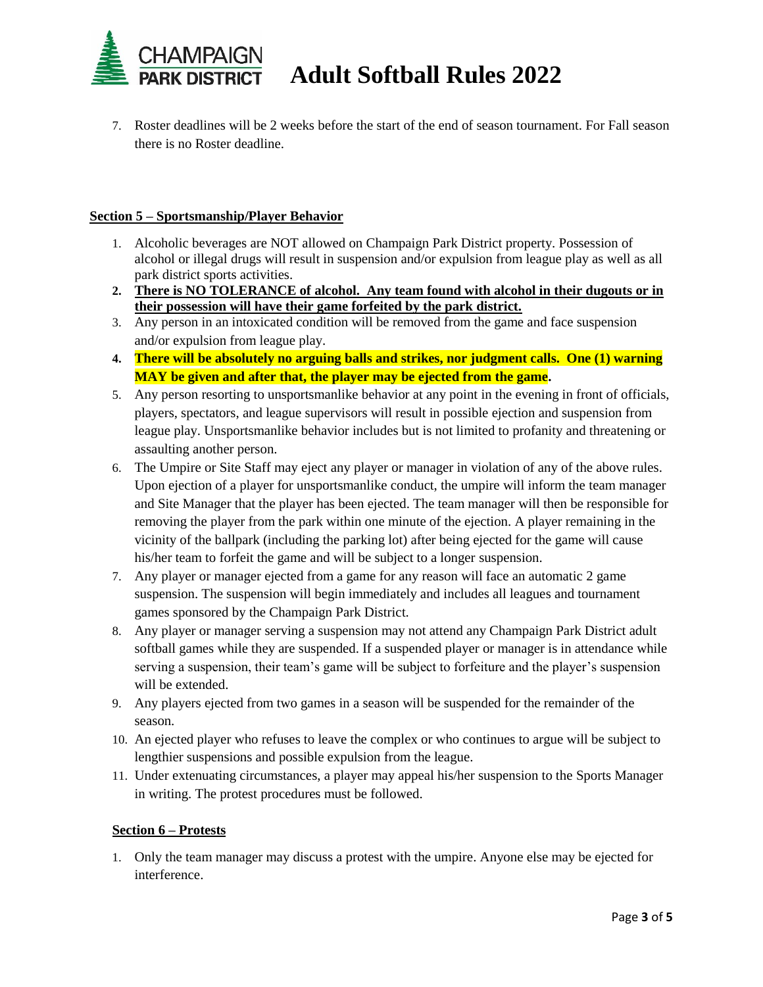

7. Roster deadlines will be 2 weeks before the start of the end of season tournament. For Fall season there is no Roster deadline.

## **Section 5 – Sportsmanship/Player Behavior**

- 1. Alcoholic beverages are NOT allowed on Champaign Park District property. Possession of alcohol or illegal drugs will result in suspension and/or expulsion from league play as well as all park district sports activities.
- **2. There is NO TOLERANCE of alcohol. Any team found with alcohol in their dugouts or in their possession will have their game forfeited by the park district.**
- 3. Any person in an intoxicated condition will be removed from the game and face suspension and/or expulsion from league play.
- **4. There will be absolutely no arguing balls and strikes, nor judgment calls. One (1) warning MAY be given and after that, the player may be ejected from the game.**
- 5. Any person resorting to unsportsmanlike behavior at any point in the evening in front of officials, players, spectators, and league supervisors will result in possible ejection and suspension from league play. Unsportsmanlike behavior includes but is not limited to profanity and threatening or assaulting another person.
- 6. The Umpire or Site Staff may eject any player or manager in violation of any of the above rules. Upon ejection of a player for unsportsmanlike conduct, the umpire will inform the team manager and Site Manager that the player has been ejected. The team manager will then be responsible for removing the player from the park within one minute of the ejection. A player remaining in the vicinity of the ballpark (including the parking lot) after being ejected for the game will cause his/her team to forfeit the game and will be subject to a longer suspension.
- 7. Any player or manager ejected from a game for any reason will face an automatic 2 game suspension. The suspension will begin immediately and includes all leagues and tournament games sponsored by the Champaign Park District.
- 8. Any player or manager serving a suspension may not attend any Champaign Park District adult softball games while they are suspended. If a suspended player or manager is in attendance while serving a suspension, their team's game will be subject to forfeiture and the player's suspension will be extended.
- 9. Any players ejected from two games in a season will be suspended for the remainder of the season.
- 10. An ejected player who refuses to leave the complex or who continues to argue will be subject to lengthier suspensions and possible expulsion from the league.
- 11. Under extenuating circumstances, a player may appeal his/her suspension to the Sports Manager in writing. The protest procedures must be followed.

## **Section 6 – Protests**

1. Only the team manager may discuss a protest with the umpire. Anyone else may be ejected for interference.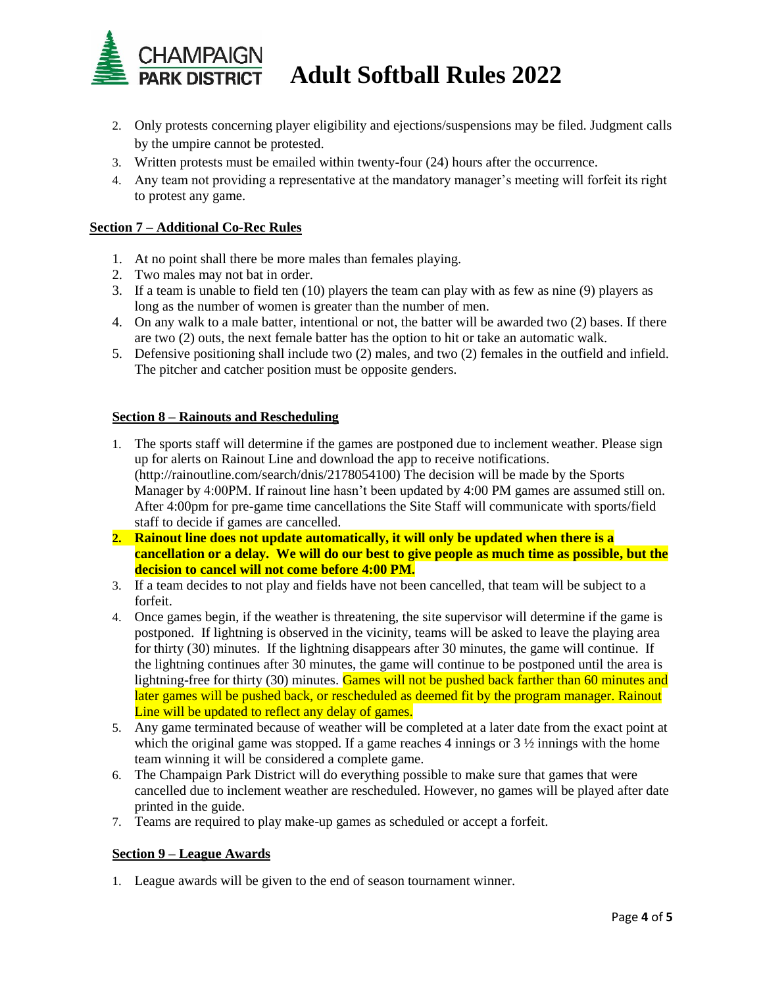

# CHAMPAIGN<br>PARK DISTRICT Adult Softball Rules 2022

- 2. Only protests concerning player eligibility and ejections/suspensions may be filed. Judgment calls by the umpire cannot be protested.
- 3. Written protests must be emailed within twenty-four (24) hours after the occurrence.
- 4. Any team not providing a representative at the mandatory manager's meeting will forfeit its right to protest any game.

## **Section 7 – Additional Co-Rec Rules**

- 1. At no point shall there be more males than females playing.
- 2. Two males may not bat in order.
- 3. If a team is unable to field ten (10) players the team can play with as few as nine (9) players as long as the number of women is greater than the number of men.
- 4. On any walk to a male batter, intentional or not, the batter will be awarded two (2) bases. If there are two (2) outs, the next female batter has the option to hit or take an automatic walk.
- 5. Defensive positioning shall include two (2) males, and two (2) females in the outfield and infield. The pitcher and catcher position must be opposite genders.

### **Section 8 – Rainouts and Rescheduling**

- 1. The sports staff will determine if the games are postponed due to inclement weather. Please sign up for alerts on Rainout Line and download the app to receive notifications. (http://rainoutline.com/search/dnis/2178054100) The decision will be made by the Sports Manager by 4:00PM. If rainout line hasn't been updated by 4:00 PM games are assumed still on. After 4:00pm for pre-game time cancellations the Site Staff will communicate with sports/field staff to decide if games are cancelled.
- **2. Rainout line does not update automatically, it will only be updated when there is a cancellation or a delay. We will do our best to give people as much time as possible, but the decision to cancel will not come before 4:00 PM.**
- 3. If a team decides to not play and fields have not been cancelled, that team will be subject to a forfeit.
- 4. Once games begin, if the weather is threatening, the site supervisor will determine if the game is postponed. If lightning is observed in the vicinity, teams will be asked to leave the playing area for thirty (30) minutes. If the lightning disappears after 30 minutes, the game will continue. If the lightning continues after 30 minutes, the game will continue to be postponed until the area is lightning-free for thirty (30) minutes. Games will not be pushed back farther than 60 minutes and later games will be pushed back, or rescheduled as deemed fit by the program manager. Rainout Line will be updated to reflect any delay of games.
- 5. Any game terminated because of weather will be completed at a later date from the exact point at which the original game was stopped. If a game reaches 4 innings or  $3\frac{1}{2}$  innings with the home team winning it will be considered a complete game.
- 6. The Champaign Park District will do everything possible to make sure that games that were cancelled due to inclement weather are rescheduled. However, no games will be played after date printed in the guide.
- 7. Teams are required to play make-up games as scheduled or accept a forfeit.

## **Section 9 – League Awards**

1. League awards will be given to the end of season tournament winner.